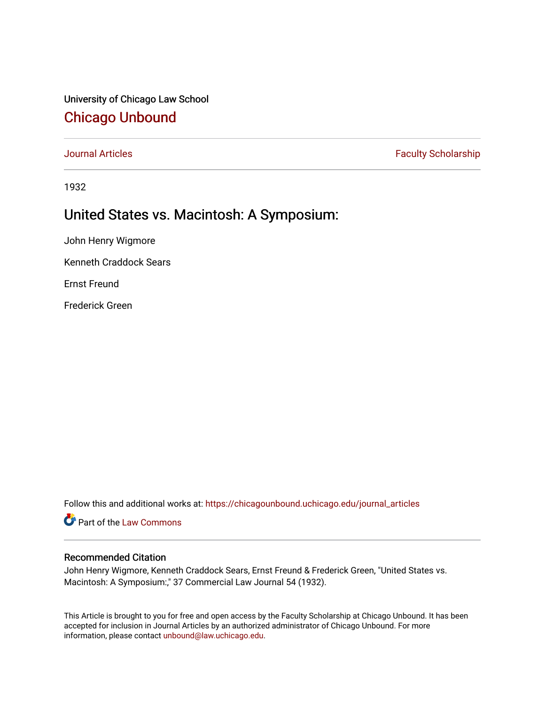University of Chicago Law School [Chicago Unbound](https://chicagounbound.uchicago.edu/)

[Journal Articles](https://chicagounbound.uchicago.edu/journal_articles) **Faculty Scholarship Faculty Scholarship** 

1932

## United States vs. Macintosh: A Symposium:

John Henry Wigmore

Kenneth Craddock Sears

Ernst Freund

Frederick Green

Follow this and additional works at: [https://chicagounbound.uchicago.edu/journal\\_articles](https://chicagounbound.uchicago.edu/journal_articles?utm_source=chicagounbound.uchicago.edu%2Fjournal_articles%2F7856&utm_medium=PDF&utm_campaign=PDFCoverPages) 

Part of the [Law Commons](http://network.bepress.com/hgg/discipline/578?utm_source=chicagounbound.uchicago.edu%2Fjournal_articles%2F7856&utm_medium=PDF&utm_campaign=PDFCoverPages)

## Recommended Citation

John Henry Wigmore, Kenneth Craddock Sears, Ernst Freund & Frederick Green, "United States vs. Macintosh: A Symposium:," 37 Commercial Law Journal 54 (1932).

This Article is brought to you for free and open access by the Faculty Scholarship at Chicago Unbound. It has been accepted for inclusion in Journal Articles by an authorized administrator of Chicago Unbound. For more information, please contact [unbound@law.uchicago.edu](mailto:unbound@law.uchicago.edu).